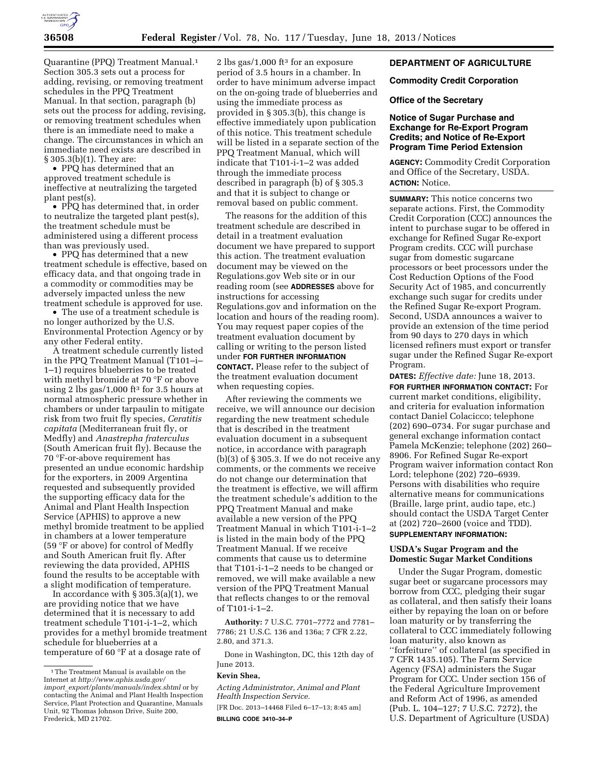

Quarantine (PPQ) Treatment Manual.1 Section 305.3 sets out a process for adding, revising, or removing treatment schedules in the PPQ Treatment Manual. In that section, paragraph (b) sets out the process for adding, revising, or removing treatment schedules when there is an immediate need to make a change. The circumstances in which an immediate need exists are described in § 305.3(b)(1). They are:

• PPQ has determined that an approved treatment schedule is ineffective at neutralizing the targeted plant pest(s).

• PPQ has determined that, in order to neutralize the targeted plant pest(s), the treatment schedule must be administered using a different process than was previously used.

• PPQ has determined that a new treatment schedule is effective, based on efficacy data, and that ongoing trade in a commodity or commodities may be adversely impacted unless the new treatment schedule is approved for use.

• The use of a treatment schedule is no longer authorized by the U.S. Environmental Protection Agency or by any other Federal entity.

A treatment schedule currently listed in the PPQ Treatment Manual (T101–i– 1–1) requires blueberries to be treated with methyl bromide at 70 °F or above using 2 lbs gas/1,000 ft<sup>3</sup> for 3.5 hours at normal atmospheric pressure whether in chambers or under tarpaulin to mitigate risk from two fruit fly species, *Ceratitis capitata* (Mediterranean fruit fly, or Medfly) and *Anastrepha fraterculus*  (South American fruit fly). Because the 70 °F-or-above requirement has presented an undue economic hardship for the exporters, in 2009 Argentina requested and subsequently provided the supporting efficacy data for the Animal and Plant Health Inspection Service (APHIS) to approve a new methyl bromide treatment to be applied in chambers at a lower temperature (59 °F or above) for control of Medfly and South American fruit fly. After reviewing the data provided, APHIS found the results to be acceptable with a slight modification of temperature.

In accordance with  $\S 305.3(a)(1)$ , we are providing notice that we have determined that it is necessary to add treatment schedule T101-i-1–2, which provides for a methyl bromide treatment schedule for blueberries at a temperature of 60 °F at a dosage rate of

2 lbs gas/1,000 ft<sup>3</sup> for an exposure period of 3.5 hours in a chamber. In order to have minimum adverse impact on the on-going trade of blueberries and using the immediate process as provided in § 305.3(b), this change is effective immediately upon publication of this notice. This treatment schedule will be listed in a separate section of the PPQ Treatment Manual, which will indicate that T101-i-1–2 was added through the immediate process described in paragraph (b) of § 305.3 and that it is subject to change or removal based on public comment.

The reasons for the addition of this treatment schedule are described in detail in a treatment evaluation document we have prepared to support this action. The treatment evaluation document may be viewed on the Regulations.gov Web site or in our reading room (see **ADDRESSES** above for instructions for accessing Regulations.gov and information on the location and hours of the reading room). You may request paper copies of the treatment evaluation document by calling or writing to the person listed under **FOR FURTHER INFORMATION CONTACT.** Please refer to the subject of the treatment evaluation document when requesting copies.

After reviewing the comments we receive, we will announce our decision regarding the new treatment schedule that is described in the treatment evaluation document in a subsequent notice, in accordance with paragraph  $(b)(3)$  of § 305.3. If we do not receive any comments, or the comments we receive do not change our determination that the treatment is effective, we will affirm the treatment schedule's addition to the PPQ Treatment Manual and make available a new version of the PPQ Treatment Manual in which T101-i-1–2 is listed in the main body of the PPQ Treatment Manual. If we receive comments that cause us to determine that T101-i-1–2 needs to be changed or removed, we will make available a new version of the PPQ Treatment Manual that reflects changes to or the removal of T101-i-1–2.

**Authority:** 7 U.S.C. 7701–7772 and 7781– 7786; 21 U.S.C. 136 and 136a; 7 CFR 2.22, 2.80, and 371.3.

Done in Washington, DC, this 12th day of June 2013.

#### **Kevin Shea,**

*Acting Administrator, Animal and Plant Health Inspection Service.* 

[FR Doc. 2013–14468 Filed 6–17–13; 8:45 am] **BILLING CODE 3410–34–P** 

# **DEPARTMENT OF AGRICULTURE**

### **Commodity Credit Corporation**

# **Office of the Secretary**

### **Notice of Sugar Purchase and Exchange for Re-Export Program Credits; and Notice of Re-Export Program Time Period Extension**

**AGENCY:** Commodity Credit Corporation and Office of the Secretary, USDA. **ACTION:** Notice.

**SUMMARY:** This notice concerns two separate actions. First, the Commodity Credit Corporation (CCC) announces the intent to purchase sugar to be offered in exchange for Refined Sugar Re-export Program credits. CCC will purchase sugar from domestic sugarcane processors or beet processors under the Cost Reduction Options of the Food Security Act of 1985, and concurrently exchange such sugar for credits under the Refined Sugar Re-export Program. Second, USDA announces a waiver to provide an extension of the time period from 90 days to 270 days in which licensed refiners must export or transfer sugar under the Refined Sugar Re-export Program.

**DATES:** *Effective date:* June 18, 2013.

**FOR FURTHER INFORMATION CONTACT:** For current market conditions, eligibility, and criteria for evaluation information contact Daniel Colacicco; telephone (202) 690–0734. For sugar purchase and general exchange information contact Pamela McKenzie; telephone (202) 260– 8906. For Refined Sugar Re-export Program waiver information contact Ron Lord; telephone (202) 720–6939. Persons with disabilities who require alternative means for communications (Braille, large print, audio tape, etc.) should contact the USDA Target Center at (202) 720–2600 (voice and TDD).

# **SUPPLEMENTARY INFORMATION:**

# **USDA's Sugar Program and the Domestic Sugar Market Conditions**

Under the Sugar Program, domestic sugar beet or sugarcane processors may borrow from CCC, pledging their sugar as collateral, and then satisfy their loans either by repaying the loan on or before loan maturity or by transferring the collateral to CCC immediately following loan maturity, also known as ''forfeiture'' of collateral (as specified in 7 CFR 1435.105). The Farm Service Agency (FSA) administers the Sugar Program for CCC. Under section 156 of the Federal Agriculture Improvement and Reform Act of 1996, as amended (Pub. L. 104–127; 7 U.S.C. 7272), the U.S. Department of Agriculture (USDA)

<sup>1</sup>The Treatment Manual is available on the Internet at *[http://www.aphis.usda.gov/](http://www.aphis.usda.gov/import_export/plants/manuals/index.shtml) import*\_*[export/plants/manuals/index.shtml](http://www.aphis.usda.gov/import_export/plants/manuals/index.shtml)* or by contacting the Animal and Plant Health Inspection Service, Plant Protection and Quarantine, Manuals Unit, 92 Thomas Johnson Drive, Suite 200, Frederick, MD 21702.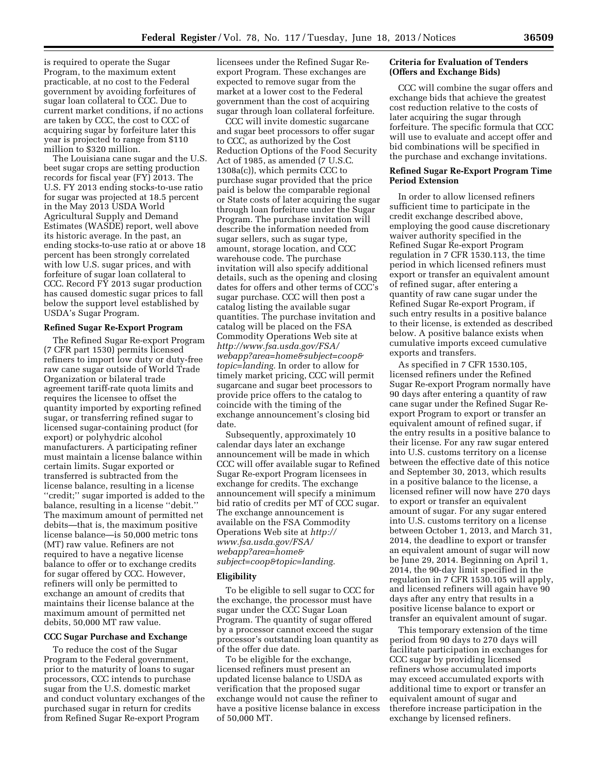is required to operate the Sugar Program, to the maximum extent practicable, at no cost to the Federal government by avoiding forfeitures of sugar loan collateral to CCC. Due to current market conditions, if no actions are taken by CCC, the cost to CCC of acquiring sugar by forfeiture later this year is projected to range from \$110 million to \$320 million.

The Louisiana cane sugar and the U.S. beet sugar crops are setting production records for fiscal year (FY) 2013. The U.S. FY 2013 ending stocks-to-use ratio for sugar was projected at 18.5 percent in the May 2013 USDA World Agricultural Supply and Demand Estimates (WASDE) report, well above its historic average. In the past, an ending stocks-to-use ratio at or above 18 percent has been strongly correlated with low U.S. sugar prices, and with forfeiture of sugar loan collateral to CCC. Record FY 2013 sugar production has caused domestic sugar prices to fall below the support level established by USDA's Sugar Program.

### **Refined Sugar Re-Export Program**

The Refined Sugar Re-export Program (7 CFR part 1530) permits licensed refiners to import low duty or duty-free raw cane sugar outside of World Trade Organization or bilateral trade agreement tariff-rate quota limits and requires the licensee to offset the quantity imported by exporting refined sugar, or transferring refined sugar to licensed sugar-containing product (for export) or polyhydric alcohol manufacturers. A participating refiner must maintain a license balance within certain limits. Sugar exported or transferred is subtracted from the license balance, resulting in a license ''credit;'' sugar imported is added to the balance, resulting in a license ''debit.'' The maximum amount of permitted net debits—that is, the maximum positive license balance—is 50,000 metric tons (MT) raw value. Refiners are not required to have a negative license balance to offer or to exchange credits for sugar offered by CCC. However, refiners will only be permitted to exchange an amount of credits that maintains their license balance at the maximum amount of permitted net debits, 50,000 MT raw value.

# **CCC Sugar Purchase and Exchange**

To reduce the cost of the Sugar Program to the Federal government, prior to the maturity of loans to sugar processors, CCC intends to purchase sugar from the U.S. domestic market and conduct voluntary exchanges of the purchased sugar in return for credits from Refined Sugar Re-export Program

licensees under the Refined Sugar Reexport Program. These exchanges are expected to remove sugar from the market at a lower cost to the Federal government than the cost of acquiring sugar through loan collateral forfeiture.

CCC will invite domestic sugarcane and sugar beet processors to offer sugar to CCC, as authorized by the Cost Reduction Options of the Food Security Act of 1985, as amended (7 U.S.C. 1308a(c)), which permits CCC to purchase sugar provided that the price paid is below the comparable regional or State costs of later acquiring the sugar through loan forfeiture under the Sugar Program. The purchase invitation will describe the information needed from sugar sellers, such as sugar type, amount, storage location, and CCC warehouse code. The purchase invitation will also specify additional details, such as the opening and closing dates for offers and other terms of CCC's sugar purchase. CCC will then post a catalog listing the available sugar quantities. The purchase invitation and catalog will be placed on the FSA Commodity Operations Web site at *[http://www.fsa.usda.gov/FSA/](http://www.fsa.usda.gov/FSA/webapp?area=home&subject=coop&topic=landing) [webapp?area=home&subject=coop&](http://www.fsa.usda.gov/FSA/webapp?area=home&subject=coop&topic=landing) [topic=landing.](http://www.fsa.usda.gov/FSA/webapp?area=home&subject=coop&topic=landing)* In order to allow for timely market pricing, CCC will permit sugarcane and sugar beet processors to provide price offers to the catalog to coincide with the timing of the exchange announcement's closing bid date.

Subsequently, approximately 10 calendar days later an exchange announcement will be made in which CCC will offer available sugar to Refined Sugar Re-export Program licensees in exchange for credits. The exchange announcement will specify a minimum bid ratio of credits per MT of CCC sugar. The exchange announcement is available on the FSA Commodity Operations Web site at *[http://](http://www.fsa.usda.gov/FSA/webapp?area=home&subject=coop&topic=landing) [www.fsa.usda.gov/FSA/](http://www.fsa.usda.gov/FSA/webapp?area=home&subject=coop&topic=landing)  [webapp?area=home&](http://www.fsa.usda.gov/FSA/webapp?area=home&subject=coop&topic=landing) [subject=coop&topic=landing.](http://www.fsa.usda.gov/FSA/webapp?area=home&subject=coop&topic=landing)* 

#### **Eligibility**

To be eligible to sell sugar to CCC for the exchange, the processor must have sugar under the CCC Sugar Loan Program. The quantity of sugar offered by a processor cannot exceed the sugar processor's outstanding loan quantity as of the offer due date.

To be eligible for the exchange, licensed refiners must present an updated license balance to USDA as verification that the proposed sugar exchange would not cause the refiner to have a positive license balance in excess of 50,000 MT.

# **Criteria for Evaluation of Tenders (Offers and Exchange Bids)**

CCC will combine the sugar offers and exchange bids that achieve the greatest cost reduction relative to the costs of later acquiring the sugar through forfeiture. The specific formula that CCC will use to evaluate and accept offer and bid combinations will be specified in the purchase and exchange invitations.

### **Refined Sugar Re-Export Program Time Period Extension**

In order to allow licensed refiners sufficient time to participate in the credit exchange described above, employing the good cause discretionary waiver authority specified in the Refined Sugar Re-export Program regulation in 7 CFR 1530.113, the time period in which licensed refiners must export or transfer an equivalent amount of refined sugar, after entering a quantity of raw cane sugar under the Refined Sugar Re-export Program, if such entry results in a positive balance to their license, is extended as described below. A positive balance exists when cumulative imports exceed cumulative exports and transfers.

As specified in 7 CFR 1530.105, licensed refiners under the Refined Sugar Re-export Program normally have 90 days after entering a quantity of raw cane sugar under the Refined Sugar Reexport Program to export or transfer an equivalent amount of refined sugar, if the entry results in a positive balance to their license. For any raw sugar entered into U.S. customs territory on a license between the effective date of this notice and September 30, 2013, which results in a positive balance to the license, a licensed refiner will now have 270 days to export or transfer an equivalent amount of sugar. For any sugar entered into U.S. customs territory on a license between October 1, 2013, and March 31, 2014, the deadline to export or transfer an equivalent amount of sugar will now be June 29, 2014. Beginning on April 1, 2014, the 90-day limit specified in the regulation in 7 CFR 1530.105 will apply, and licensed refiners will again have 90 days after any entry that results in a positive license balance to export or transfer an equivalent amount of sugar.

This temporary extension of the time period from 90 days to 270 days will facilitate participation in exchanges for CCC sugar by providing licensed refiners whose accumulated imports may exceed accumulated exports with additional time to export or transfer an equivalent amount of sugar and therefore increase participation in the exchange by licensed refiners.